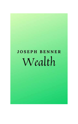# **JOSEPH BENNER** Wealth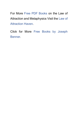For More [Free PDF Books](https://www.law-of-attraction-haven.com/free-pdf-books.html) on the Law of Attraction and Metaphysics Visit the [Law of](https://www.law-of-attraction-haven.com/)  [Attraction Haven.](https://www.law-of-attraction-haven.com/)

Click for More [Free Books by Joseph](https://www.law-of-attraction-haven.com/free-pdf-books.html#benner-books)  [Benner.](https://www.law-of-attraction-haven.com/free-pdf-books.html#benner-books)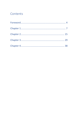# Contents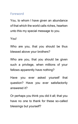# <span id="page-3-0"></span>Foreword

You, to whom I have given an abundance of that which the world calls riches, hearken unto this my special message to you.

You!

Who are you, that you should be thus blessed above your brothers?

Who are you, that you should be given such a privilege, when millions of your fellows apparently have nothing?

Have you ever asked yourself that question? Have you ever satisfactorily answered it?

Or perhaps you think you did it all; that you have no one to thank for these so-called blessings but yourself?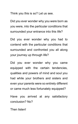Think you this is so? Let us see.

Did you ever wonder why you were born as you were, into the particular conditions that surrounded your entrance into this life?

Did you ever wonder why you had to contend with the particular conditions that surrounded and confronted you all along your journey up through life?

Did you ever wonder why you came equipped with the certain tendencies, qualities and powers of mind and soul you had while your brothers and sisters and even your parents were so entirely different or came much less fortunately equipped?

Have you arrived at any satisfactory conclusion? No?

Then listen!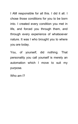I AM responsible for all this. I did it all. I chose those conditions for you to be born into. I created every condition you met in life, and forced you through them, and through every experience of whatsoever nature. It was I who brought you to where you are today.

You, of yourself, did nothing. That personality you call yourself is merely an automation which I move to suit my purpose.

Who am I?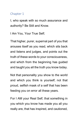## <span id="page-6-0"></span>Chapter 1

I, who speak with so much assurance and authority? Be Still and Know.

I Am You, Your True Self;

That higher, purer, supernal part of you that arouses itself as you read, which sits back and listens and judges, and points out the truth of these words to your consciousness, and which from the beginning has guided and taught you all the truth you know today.

Not that personality you show to the world and which you think is yourself; not that proud, selfish mask of a self that has been feeding you on error all these years.

For I AM your Real Self, that something in you which you know has made you all you really are, that has inspired, and cautioned,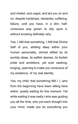and chided, and urged, and led you on and on, despite hardships, obstacles, suffering, failure, until you have, in a dim, halfconscious way grown to rely upon it, without knowing definitely why.

Yes, I AM that something. I AM that Divine Self of you, abiding deep within your human personality, almost stifled by its worldly ideas, its selfish desires, its foolish pride and ambitions, yet ever seeking, longing, yearning to make you conscious of my existence, of my real identity.

Yes, my child, that something AM I. I, who from the beginning have been sitting here within, quietly waiting for this moment. Yet while waiting it was really I who was guiding you all the time, who put each thought into your mind, made you do everything you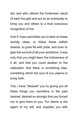did, and who utilized the foreknown result of each thought and act so as eventually to bring you and others to a final conscious recognition of me.

And if I have permitted you to feed on these worldly ideas, to follow these selfish desires, to grow fat with pride, and even to gain the summit of all your ambitions, it was only that you might learn the hollowness of it all, and that you could awaken to the realization that there is something else, something which the soul of you yearns to bring forth.

Yes, I have "blessed" you by giving you all these things you sometime in the past desired, desired so strongly that you forced me to give them to you. For desire is the agent of my will, and supplies you with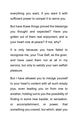everything you want, if you want it with sufficient power to compel It to serve you.

But have these things proved the blessings you thought and expected? Have you gotten out of them real enjoyment, and is your heart now at peace? If not, why?

It is only because you have failed to recognize me, your True Self, as the giver, and have used them not at all in my service, but only to satisfy your own selfish pleasure.

But I have allowed you to indulge yourself to your heart's content with all such empty joys, even leading you on from one to another, holding out to you the possibility of finding in some new bauble, or sensation, or accomplishment, or power, that something you craved, but which, alas! you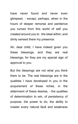have never found and never even glimpsed, - except, perhaps, when in the hours of deeper remorse and penitence you turned from this world of self you created around you to the ideal within, and dimly sensed there my presence.

Ah, dear child, I have indeed given you these blessings, and they are real blessings; for they are my special sign of approval to you.

But the blessings are not what you think them to be. The real blessings are in the qualities I have developed in you in the acquirement of these riches, in the attainment of these desires, - the qualities of determination to win, of persistency of purpose, the power to do, the ability to master every natural fault and weakness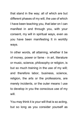that stand in the way; all of which are but different phases of my will, the use of which I have been teaching you, that later on I can manifest in and through you, with your consent, my will in spiritual ways, even as you have been manifesting It in worldly ways.

In other words, all attaining, whether it be of money, power or fame - in art, literature or music, science, philosophy or religion, is but so much training in the use of my will; and therefore labor, business, science, religion, the arts or the professions, are merely incidents, or the outer means I use to develop in you the conscious use of my will.

You may think it is your will that is so acting, but so long as you consider yourself as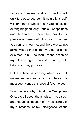separate from me, and you use this will only to please yourself, it naturally is selfwill, and that is why it brings you no lasting or tangible good, only trouble, unhappiness and heartache, when the novelty of possession wears off. And so, of course, you cannot know me, and therefore cannot acknowledge that all that you do, or have, or suffer, is but the result of the action of my will working thus in and through you to bring about my purpose.

But the time is coming when you will understand somewhat of this. Hence this message. Hence this special favor to you.

You may ask, why I, God, the Omnipotent One, the all good, the all wise, made such an unequal distribution of my blessings, of my substance, of my intelligence, of the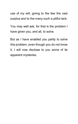use of my will, giving to the few the vast surplus and to the many such a pitiful lack.

You may well ask, for that is the problem I have given you, and all, to solve.

But as I have enabled you partly to solve this problem, even though you do not know it, I will now disclose to you some of its apparent mysteries.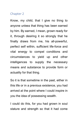## <span id="page-14-0"></span>Chapter 2

Know, my child, that I give no thing to anyone unless that thing has been earned by him. By earned, I mean, grown ready for it, through desiring it so strongly that he finally draws from me, his all-powerful, perfect self within, sufficient life-force and vital energy to compel conditions and circumstances to yield up and other intelligences to supply the necessary means and substance to provide form or actuality for that thing.

So it is that sometime in the past, either in this life or in a previous existence, you had arrived at the point where I could inspire in you the idea of possessing wealth.

I could do this, for you had grown in soul stature and strength so that it had come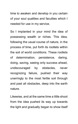time to awaken and develop in you certain of your soul qualities and faculties which I needed for use in my service.

So I implanted in your mind the idea of possessing wealth or riches. This idea, following the usual course of nature, in the process of time, put forth its rootlets within the soil of world conditions. These rootlets of determination, persistence, daring, doing, saving, seeing only success ahead, undiscouraged by obstacles, never recognizing failure, pushed their way unerringly to the most fertile soil through and past all obstacles, deep into the earth nature.

Likewise, and at the same time a little shoot from the idea pushed its way up towards the light and gradually began to show itself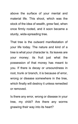above the surface of your mental and material life. This shoot, which was the stock of the idea of wealth, grew fast, when once firmly rooted, and it soon became a sturdy, wide-spreading tree.

That tree is the outward manifestation of your life today. The nature and kind of a tree is what your character is. Its leaves are your money; its fruit just what the possession of that money has meant to you. If there is decay or unsoundness in root, trunk or branch, it is because of error, wrong or disease somewhere in the tree, which finally will destroy it unless remedied or removed.

Is there any error, wrong or disease in your tree, my child? Are there any worms gnawing their way into its heart?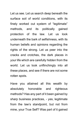Let us see. Let us search deep beneath the surface soil of world conditions, with its finely worked out system of "legitimate" methods, and its politically gained protection of the law. Let us look underneath the bark of selfishness, with its human beliefs and opinions regarding the rights of the strong. Let us peer into the cracks and crotches, the dark places in your life which are carefully hidden from the world. Let us look unflinchingly into all these places, and see if there are not some rotten spots.

Have you attained all this wealth by absolutely honorable and righteous methods? Has any part of it been gained by sharp business practices, - yes, legitimate from the law's standpoint, but not from mine, your True Self? Was part of it gained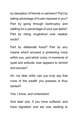by deception of friends or partners? Part by taking advantage of trusts imposed in you? Part by going through bankruptcy and settling for a percentage of your just debts? Part by riding roughshod over weaker souls?

Part by deliberate fraud? Part by any means which aroused a protesting voice within you, and which voice, in moments of quiet and solitude, ever appears to remind and accuse?

Ah, my dear child, can you truly say that none of the wealth you possess is thus tainted?

Yes, I know, and understand.

And dear one, if you have suffered, and have regretted, and are now seeking to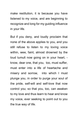make restitution, it is because you have listened to my voice, and are beginning to recognize and long for my guiding influence in your life.

But if you deny, and loudly proclaim that none of the above applies to you, and you still refuse to listen to my loving voice within, wee, faint, almost drowned by the loud tumult now going on in your heart, know, dear one, that you, too, must suffer, must enter into a life of heartache and misery and sorrow, into which I must plunge you, in order to purge your soul of the pride, self-will and self-love that now control you; so that you, too, can awaken to my love and thus learn to hear and know my voice, ever seeking to point out to you the true way of life.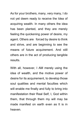As for your brothers, many, very many, I do not yet deem ready to receive the Idea of acquiring wealth. In many others the idea has been planted, and they are merely feeling the quickening power of desire, my agent. Others are forced by desire to think and strive, and are beginning to see the means of future acquirement. And still others are in the act of producing tangible results.

With all, however, I AM merely using the idea of wealth, and the motive power of desire for its acquirement, to develop those soul qualities and mental faculties which will enable me finally and fully to bring into manifestation their Real Self, I, God within them, that through them my will may be made manifest on earth even as It is in heaven.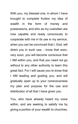With you, my blessed one, in whom I have brought to complete fruition my idea of wealth in the form of money and possessions, and who as my custodian are now capable and ready consciously to cooperate with me in its use in my service, when you can be convinced that I, God, will direct you in such use, - know that soon, very soon, you will become conscious that I AM within you, and that you need not go without to any other authority to learn this great fact. For I will cause you to know that I AM leading and guiding you, and will gradually open up to your consciousness my plan and purpose for the use and distribution of all that I have given you.

You, who have already heard my voice within, and are seeking to satisfy me by giving a portion of your wealth to churches,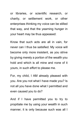or libraries, or scientific research, or charity, or settlement work, or other enterprises thinking my voice can be stilled that way, and that the yearning hunger in your heart may be thus appeased:

Know that such acts are all in vain, for never can I thus be satisfied. My voice will become only more insistent, as you strive by giving merely a portion of the wealth you hold and which is all mine and none of it yours, in such effort to please me.

For, my child, I AM already pleased with you. Are you not what I have made you? Is not all you have done what I permitted and even caused you to do?

And if I have permitted you to try to propitiate me by using your wealth in such manner, it is only because such was all I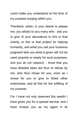could make you understand at the time of my purpose surging within you.

Therefore, when, in your desire to please me, you attract to you many who ask you to give of your abundance to this or that charity, to this or that project for helping humanity, and what you call your business judgment tells you what is given will not be used properly or wisely for such purposes, and you do not respond, - know that you have likewise been led thus to refuse by me, who thus chose for you, even as I chose for you to give to those other enterprises; and all this for the fulfilling of my purpose.

For I have not only reserved this wealth I have given you for a special service, and I have chosen you as my agent in its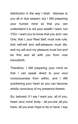distribution in the way I shall disclose to you all in due season; but I AM preparing your human mind so that you can understand it is not your wealth I want, but YOU. I want you to know that you and I are One; that I, your Real Self, must now rule; that self-will and self-pleasure must die, and my will and my pleasure must live and be first and all with you from now henceforth.

Therefore, I AM preparing your mind so that I can speak direct to your soul consciousness from within, and I AM quickening your heart so you can become wholly conscious of my presence therein.

So, beloved, if I say I want you, all of you; heart, soul, mind, body, - all you are, all you have, all you ever hope to be or have, I say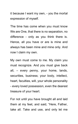it because I want my own, - you the mortal expression of myself.

The time has come when you must know We are One, that there is no separation, no difference - only as you think there is. Hence, all you have or are is mine and always has been mine and mine only. And now I claim my own.

My own must come to me. My claim you must recognize. And you must give back all, – every penny, your home, lands, securities, business; your body, intellect, heart, faculties, will, your whole personality - every loved possession, even the dearest treasure of your heart.

For not until you have brought all and laid them at my feet, and said, "Here, Father, take all. Take and use, and only let me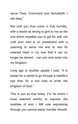serve Thee. Command and henceforth I will obey;"

Not until you thus come in true humility, with a desire as strong to give to me as the one which impelled you to get for self; not until your soul is so possessed with a yearning to serve me and to rest Its wearied heart in my love that It can no longer be denied, - can you ever enter into my kingdom.

Long ago to another people I said, "It is easier for a camel to go through a needle's eye than for a rich man to enter the kingdom of God."

This is just as true today. For he whom I have deemed worthy to express the qualities of soul I AM now expressing through you cannot easily humble himself,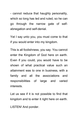- cannot reduce that haughty personality, which so long has led and ruled, so he can go through the narrow gate of selfabnegation and self-denial.

Yet I say unto you, you must come to that if you would enter into my kingdom.

This is all foolishness, you say. You cannot enter the Kingdom of God here on earth. Even if you could, you would have to be shown of what practical value such an attainment was to one in business, with a family and all the associations and responsibilities of large and varied interests.

Let us see if it is not possible to find that kingdom and to enter it right here on earth.

LISTEN! And ponder.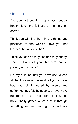#### <span id="page-28-0"></span>Chapter 3

Are you not seeking happiness, peace, health, love, the fullness of life here on earth?

Think you will find them in the things and practices of the world? Have you not learned the futility of that?

Think you can be truly rich and truly happy, when millions of your brothers are in poverty and misery?

No, my child; not until you have risen above all the illusions of this world of yours, have had your sight cleared by misery and suffering, have felt the poverty of love, have hungered for the true bread of life, and have finally gotten a taste of it through forgetting self and serving your brothers,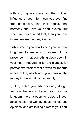with my righteousness as the quiding influence of your life, - can you ever find true happiness, find that peace, that harmony, that love your soul craves. But when you have found that, then you have indeed entered into my kingdom.

I AM come to you now to help you find that kingdom, to make you aware of my presence. I, that something deep down in your heart that yearns for the highest, for perfect expression; that craves for the true riches of life, which now you know all the money in the world cannot supply.

I, God, within you, AM speaking straight from out the depths of your heart, from my kingdom there, sweeping aside all your accumulation of worldly ideas, beliefs and opinions, and am talking direct to your soul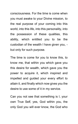consciousness. For the time is come when you must awake to your Divine mission, to the real purpose of your coming into this world, into this life, into this personality, into the possession of these qualities, this ability, which entitled you to be the custodian of the wealth I have given you, but only for such purpose.

The time is come for you to know this, to know me, that within you which gave you this desire for wealth, which gave you the power to acquire it, which inspired and impelled and guided your every effort to attain it, and finally which now gives you the desire to use some of it in my service.

Can you not see that something is I, your own True Self, yes, God within you, the only God you will ever know, the God who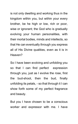is not only dwelling and working thus in the kingdom within you, but within your every brother, be he high or low, rich or poor, wise or ignorant; the God who is gradually evolving your human personalities, with their mortal bodies, minds and intellects, so that He can eventually through you express all of His Divine qualities, even as it is in Heaven?

So I have been evolving and unfolding you so that I can find perfect expression through you, just as I evolve the rose, first the bud-shoot, then the bud, finally unfolding its petals, - so that through it I can show forth some of my perfect fragrance and beauty.

But you I have chosen to be a conscious worker and expressor with me. I have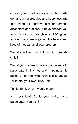chosen you to be the means by which I AM going to bring great joy and happiness into this world of sorrow, discouragement, discontent and misery. I have chosen you to be the avenue through which I AM going to pour many blessings into the hearts and lives of thousands of your brothers.

Would you like to work thus with me? My child?

Would you not like to be such an avenue to participate in this joy and happiness, to become a partner with me in its distribution, - with me, your own True Self?

Think! Think what it would mean!

Is it possible? Could you really be a participator, you ask?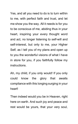Yes, and all you need to do is to turn within to me, with perfect faith and trust, and let me show you the way. All it needs is for you to be conscious of me, abiding thus in your heart, inspiring your every thought word and act, no longer listening to self-will and self-interest, but only to me, your Higher Self, as I tell you of my plans and open up to you the wonderful visions of what I have in store for you, if you faithfully follow my instructions.

Ah, my child, if you only would! If you only could know the glory that awaits compliance with this longing surging in your heart!

Then indeed would you be in Heaven, right here on earth. And such joy and peace and rest would be yours, that your very soul,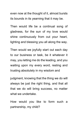even now at the thought of it, almost bursts its bounds in its yearning that it may be.

Then would life be a continual song of gladness, for the sun of my love would shine continuously from out your heart, lighting and blessing you all along the way.

Then would we joyfully start out each day to our business or task, be it whatever it may, you letting me do the leading, and you waiting upon my every word, resting and trusting absolutely in my wisdom and

judgment, knowing that the thing we do will always be just the right thing, and that all that we do will bring success, no matter what we undertake.

How would you like to form such a partnership, my child?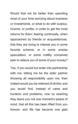Would that not be better than spending most of your time worrying about business or investments, or what to do with surplus, income, or profits, in order to get the most returns for them; fearing continually, when approached by friends or acquaintances, that they are trying to interest you in some favorite scheme, or in some unwise speculation, or some craftily conceived plan to relieve you of some of your money?

Yes, if you would but enter into partnership with me, letting me be the elder partner throwing all responsibility upon me, then indeed would you be relieved of all this; and you would find, instead of cares and burdens and problems, now so exacting they leave you not one moment's peace of mind, that all this has been lifted from you forever, and life has become one glad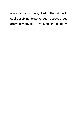round of happy days, filled to the brim with soul-satisfying experiences, because you are wholly devoted to making others happy.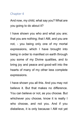#### <span id="page-37-0"></span>Chapter 4

And now, my child, what say you? What are you going to do about it?

I have shown you who and what you are; that you are nothing; that I AM, and you are not, - you being only one of my mortal expressions, which I have brought into being in order to manifest on earth through you some of my Divine qualities, and to bring joy and peace and good-will into the hearts of many of my other less complete expressions.

I have shown you all this. And you may not believe it. But that makes no difference. You can believe or not, as you choose. But whichever you choose, know it is really I who choose, and not you. And if you disbelieve, it is only because I AM not yet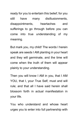ready for you to entertain this belief; for you still have many disillusionments, disappointments, heartaches and sufferings to go through before you can come into true understanding of my meaning.

But mark you, my child! The words I herein speak are seeds I AM planting in your heart and they will germinate, and the time will come when the truth of them will appear plainly to your understanding.

Then you will know I AM in you, that I AM YOU, that I, your True Self, must and will rule; and that all I have said herein shall blossom forth in actual manifestation in your life.

You who understand and whose heart urges you to enter into full partnership with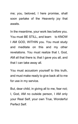me; you, beloved, I here promise, shall soon partake of the Heavenly joy that awaits.

In the meantime, your work lies before you. You must BE STILL, and learn to KNOW I AM GOD, WITHIN you. You must study and meditate on this and my other revelations. You must realize that I, God, AM all that there is; that I gave you all, and that I can take away all.

You must accustom yourself to this truth, and must make ready to give back all to me for use in my service.

But, dear child, in giving all to me, fear not; I, God, AM no outside person, I AM only your Real Self, your own True, Wonderful Perfect Self.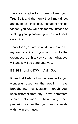I ask you to give to no one but me, your True Self, and then only that I may direct and guide you in its use. Instead of holding for self, you now will hold for me. Instead of seeking your pleasure, you now will seek only mine.

Henceforth you are to abide in me and let my words abide in you, and just to the extent you do this, you can ask what you will and it will be done unto you.

BE Still! - and KNOW - I AM - God.

Know that I AM holding in reserve for you wonderful uses for the wealth I have brought into manifestation through you, uses different from any I have heretofore shown unto man. I have long been preparing you so that you can cooperate with me in such use.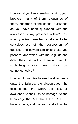How would you like to see humankind, your brothers, many of them, thousands of them, hundreds of thousands, quickened as you have been quickened with the realization of my presence within? How would you like to see them awakened to the consciousness of the possession of qualities and powers similar to those you possess, and which, with me to guide and direct their use, will lift them and you to such heights your human minds now cannot conceive?

How would you like to see the down-andouts, the failures, the discouraged, the discontented, the weak, the sick, all awakened to their Divine heritage, to the knowledge that ALL that I, the FATHER, have is theirs; and that each and all can be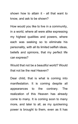shown how to attain it - all that want to know, and ask to be shown?

How would you like to live in a community, in a world, where all were alike expressing my highest qualities and powers, where each was seeking so to eliminate his personality, with all its limited selfish ideas, beliefs and opinions, that my perfect life can express?

Would that not be a beautiful world? Would that not be the real Heaven?

Dear child, that is what is coming into manifestation. It is coming despite all appearances to the contrary. The realization of this Heaven has already come to many. It is coming soon to many more, and later to all, as my quickening power is brought to them, even as It has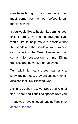now been brought to you, and which first must come from without before it can manifest within.

If you would like to hasten its coming, dear child, I hereby give you that privilege. If you would like to help make it possible that thousands and thousands of your brothers can come into the Great Awakening, can come into possession of my Divine qualities and powers, then beloved:

Turn within to me, and seek earnestly to know my purpose, pray unceasingly, until I disclose it all, My Blessed One.

Ask and ye shall receive. Seek and ye shall find. Knock and it shall be opened unto you.

I hope you have enjoyed reading Wealth by [Joseph Benner.](https://www.law-of-attraction-haven.com/free-pdf-books-authors.html#joseph-benner)